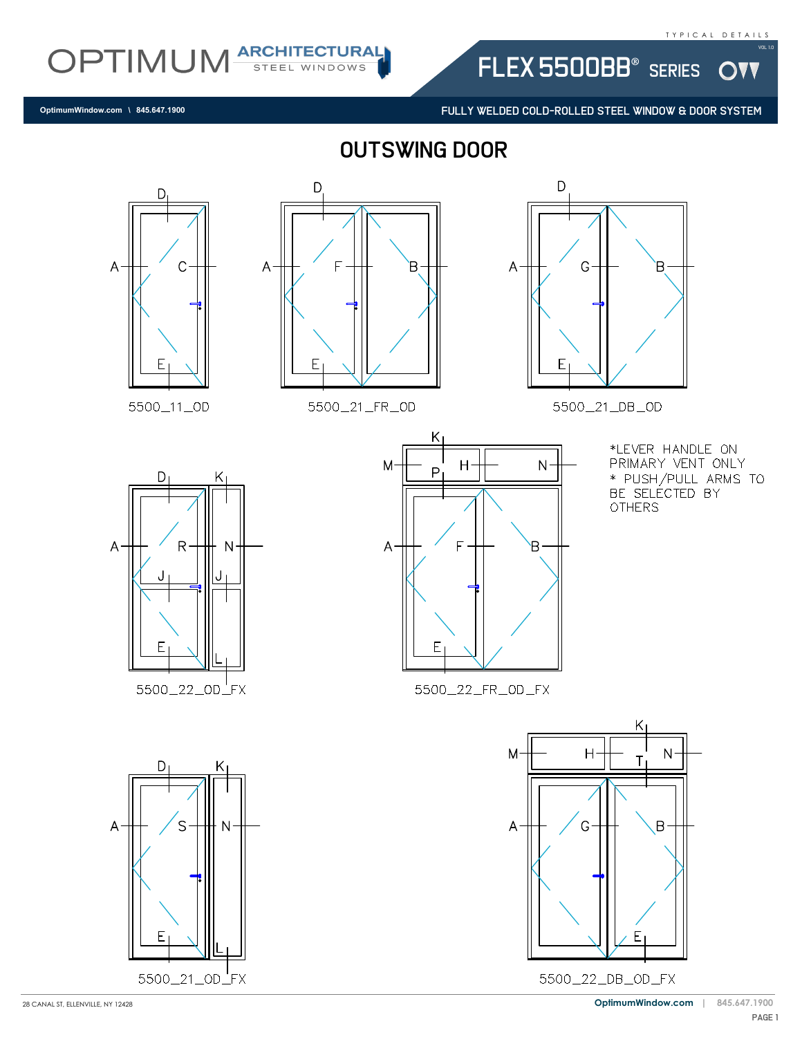W

OPTIMUM ARCHITECTURAL

**OptimumWindow.com \ 845.647.1900**

outswing door



5500\_11\_OD



5500\_21\_FR\_0D



FLEX 5500BB<sup>®</sup> SERIES

FULLY WELDED COLD-ROLLED STEEL WINDOW & DOOR SYSTEM

5500\_21\_DB\_0D



5500\_22\_0D\_FX





\*LEVER HANDLE ON PRIMARY VENT ONLY \* PUSH/PULL ARMS TO BE SELECTED BY **OTHERS** 

5500\_22\_FR\_OD\_FX

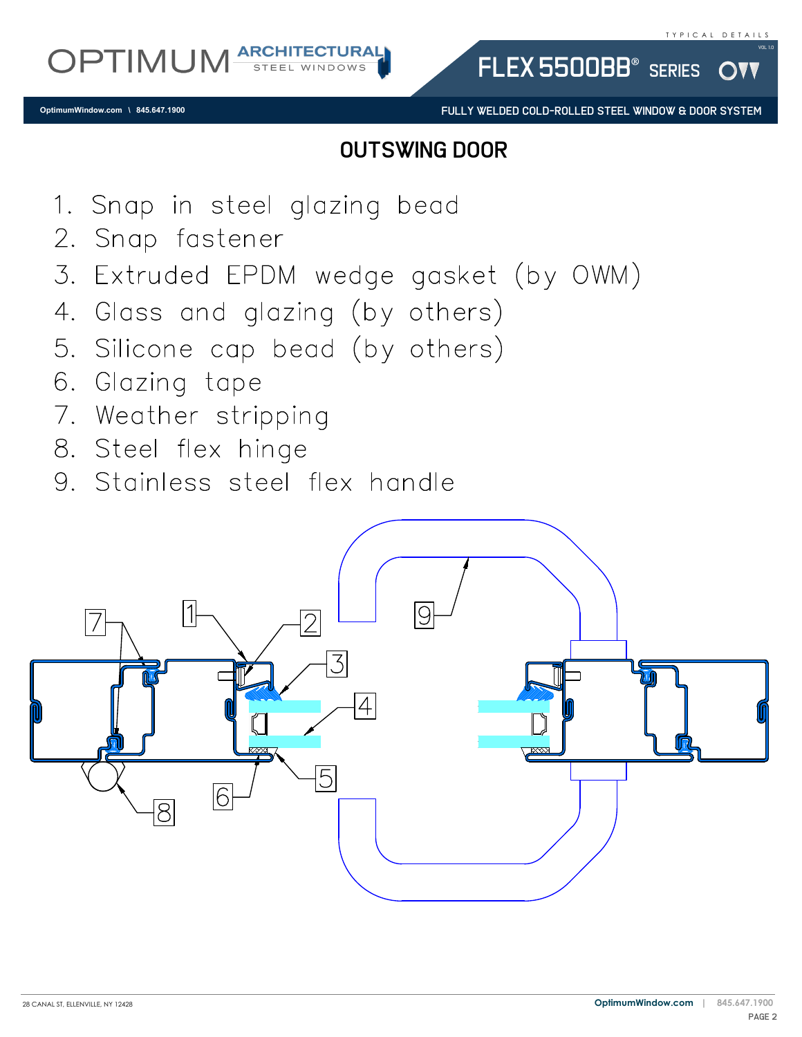FULLY WELDED COLD-ROLLED STEEL WINDOW & DOOR SYSTEM

FLEX 5500BB<sup>®</sup> SERIES

## outswing door

- 1. Snap in steel glazing bead
- 2. Snap fastener
- 3. Extruded EPDM wedge gasket (by OWM)
- 4. Glass and glazing (by others)
- 5. Silicone cap bead (by others)
- 6. Glazing tape
- 7. Weather stripping
- 8. Steel flex hinge
- 9. Stainless steel flex handle

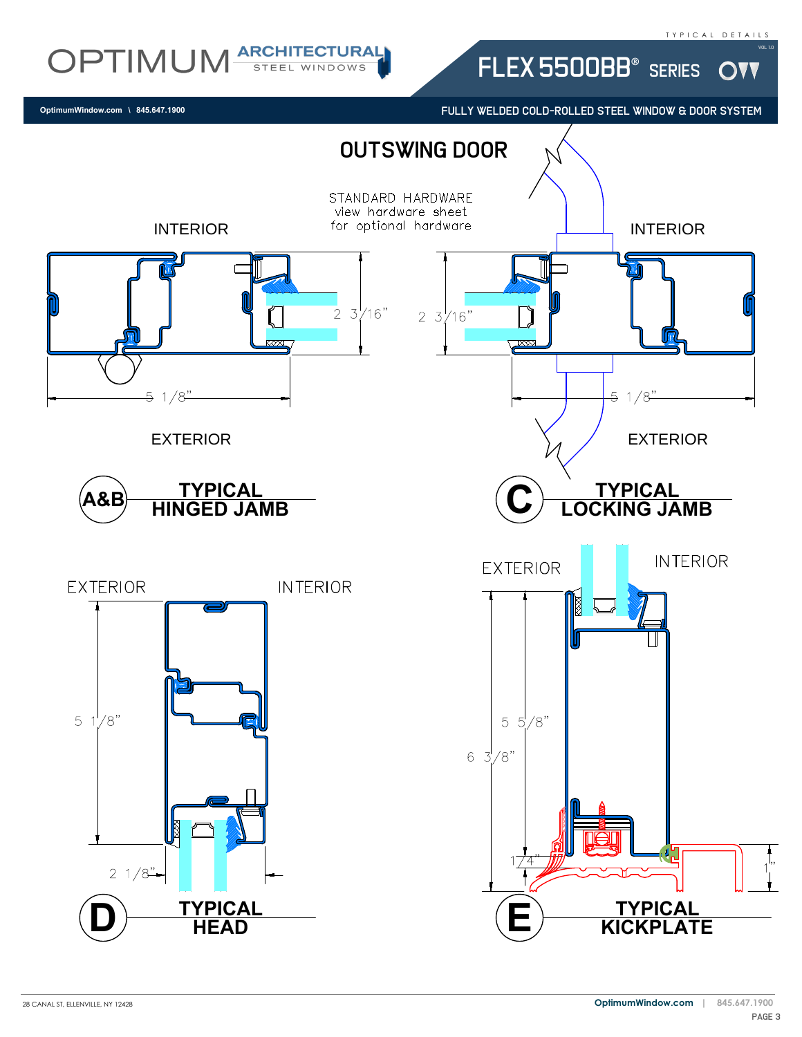W

## OPTIMUM ARCHITECTURAL

**OptimumWindow.com \ 845.647.1900**

FULLY WELDED COLD-ROLLED STEEL WINDOW & DOOR SYSTEM

FLEX 5500BB® SERIES

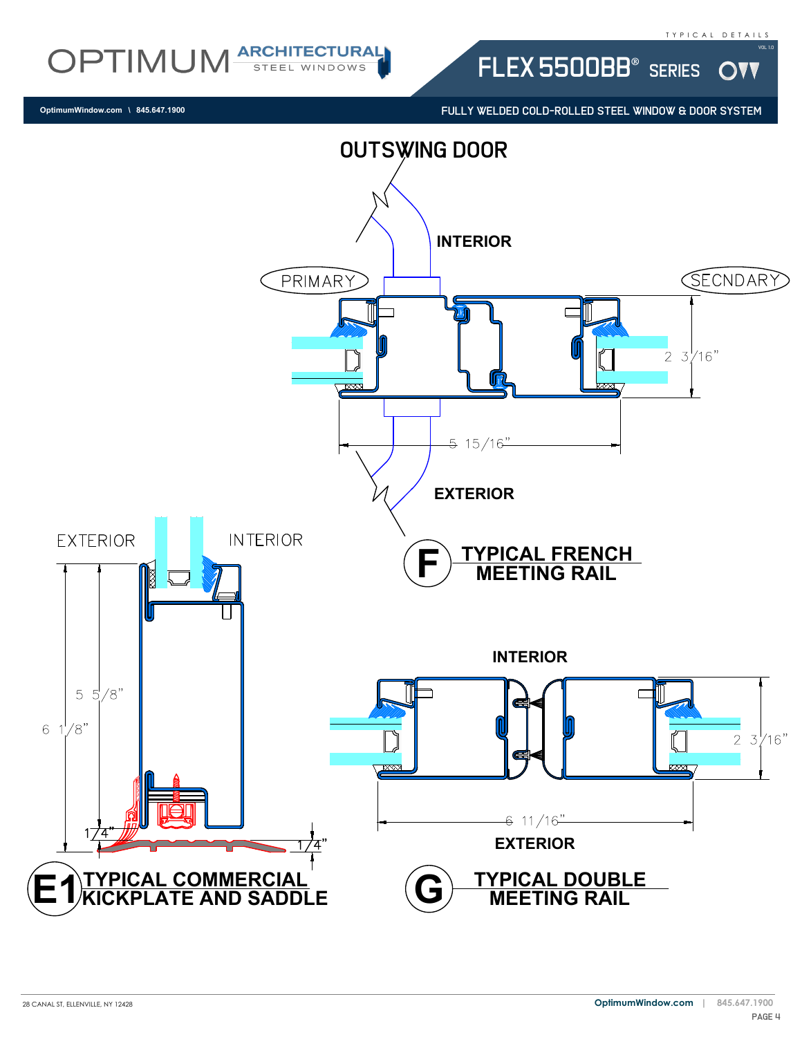W

OPTIMUM ARCHITECTURAL FLEX 5500BB® SERIES

FULLY WELDED COLD-ROLLED STEEL WINDOW & DOOR SYSTEM



28 CANAL ST, ELLENVILLE, NY 12428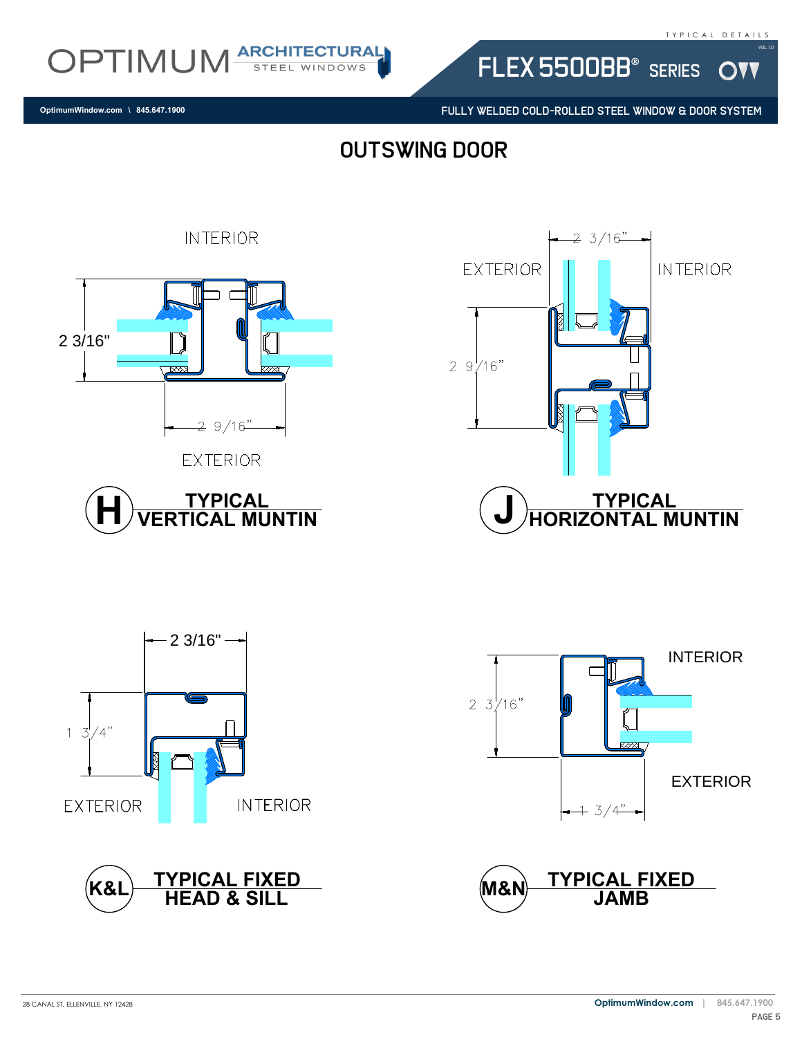**DVV** 

OPTIMUM ARCHITECTURAL

**OptimumWindow.com \ 845.647.1900**

FULLY WELDED COLD-ROLLED STEEL WINDOW & DOOR SYSTEM

FLEX 5500BB® SERIES

outswing door















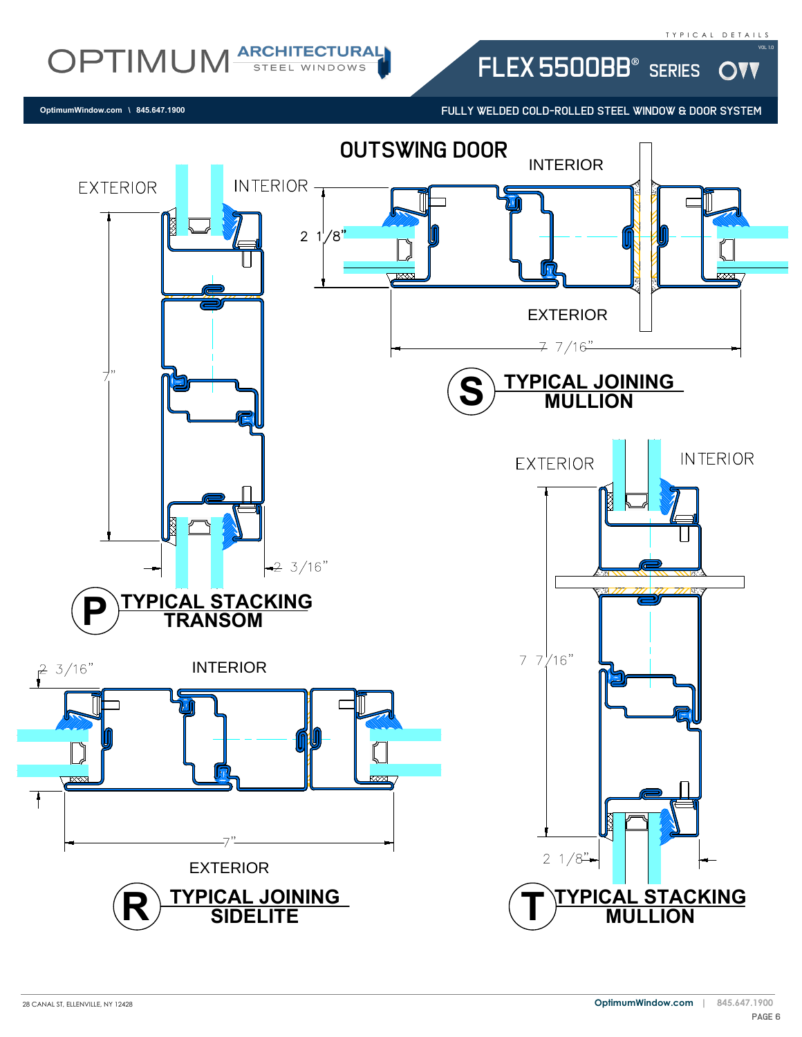**DVV** 

OPTIMUM ARCHITECTURAL

**OptimumWindow.com \ 845.647.1900**

FULLY WELDED COLD-ROLLED STEEL WINDOW & DOOR SYSTEM

FLEX 5500BB® SERIES